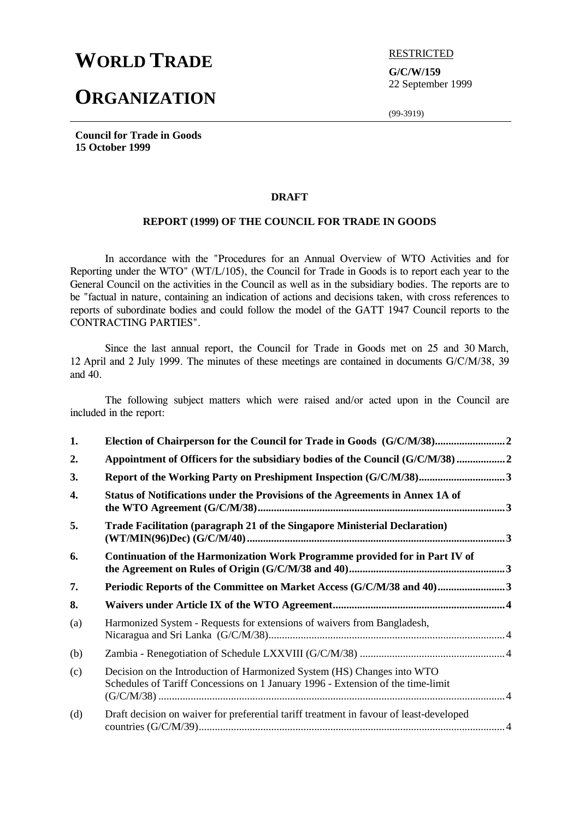# **WORLD TRADE ELECTED**

## **ORGANIZATION**

**G/C/W/159** 22 September 1999

(99-3919)

**Council for Trade in Goods 15 October 1999**

#### **DRAFT**

#### **REPORT (1999) OF THE COUNCIL FOR TRADE IN GOODS**

In accordance with the "Procedures for an Annual Overview of WTO Activities and for Reporting under the WTO" (WT/L/105), the Council for Trade in Goods is to report each year to the General Council on the activities in the Council as well as in the subsidiary bodies. The reports are to be "factual in nature, containing an indication of actions and decisions taken, with cross references to reports of subordinate bodies and could follow the model of the GATT 1947 Council reports to the CONTRACTING PARTIES".

Since the last annual report, the Council for Trade in Goods met on 25 and 30 March, 12 April and 2 July 1999. The minutes of these meetings are contained in documents G/C/M/38, 39 and 40.

The following subject matters which were raised and/or acted upon in the Council are included in the report:

| 1.  |                                                                                                                                                            |  |
|-----|------------------------------------------------------------------------------------------------------------------------------------------------------------|--|
| 2.  | Appointment of Officers for the subsidiary bodies of the Council (G/C/M/38)                                                                                |  |
| 3.  |                                                                                                                                                            |  |
| 4.  | Status of Notifications under the Provisions of the Agreements in Annex 1A of                                                                              |  |
| 5.  | Trade Facilitation (paragraph 21 of the Singapore Ministerial Declaration)                                                                                 |  |
| 6.  | Continuation of the Harmonization Work Programme provided for in Part IV of                                                                                |  |
| 7.  | Periodic Reports of the Committee on Market Access (G/C/M/38 and 40)3                                                                                      |  |
| 8.  |                                                                                                                                                            |  |
| (a) | Harmonized System - Requests for extensions of waivers from Bangladesh,                                                                                    |  |
| (b) |                                                                                                                                                            |  |
| (c) | Decision on the Introduction of Harmonized System (HS) Changes into WTO<br>Schedules of Tariff Concessions on 1 January 1996 - Extension of the time-limit |  |
| (d) | Draft decision on waiver for preferential tariff treatment in favour of least-developed                                                                    |  |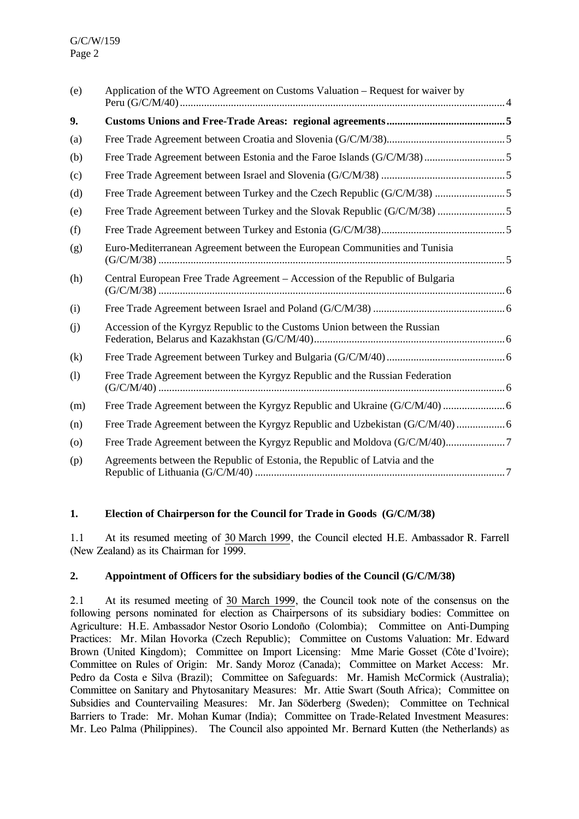| (e)                | Application of the WTO Agreement on Customs Valuation – Request for waiver by |  |
|--------------------|-------------------------------------------------------------------------------|--|
| 9.                 |                                                                               |  |
| (a)                |                                                                               |  |
| (b)                |                                                                               |  |
| (c)                |                                                                               |  |
| (d)                | Free Trade Agreement between Turkey and the Czech Republic (G/C/M/38) 5       |  |
| (e)                | Free Trade Agreement between Turkey and the Slovak Republic (G/C/M/38) 5      |  |
| (f)                |                                                                               |  |
| (g)                | Euro-Mediterranean Agreement between the European Communities and Tunisia     |  |
| (h)                | Central European Free Trade Agreement - Accession of the Republic of Bulgaria |  |
| (i)                |                                                                               |  |
| (j)                | Accession of the Kyrgyz Republic to the Customs Union between the Russian     |  |
| (k)                |                                                                               |  |
| (1)                | Free Trade Agreement between the Kyrgyz Republic and the Russian Federation   |  |
| (m)                |                                                                               |  |
| (n)                |                                                                               |  |
| $\left( 0 \right)$ |                                                                               |  |
| (p)                | Agreements between the Republic of Estonia, the Republic of Latvia and the    |  |

## **1. Election of Chairperson for the Council for Trade in Goods (G/C/M/38)**

1.1 At its resumed meeting of 30 March 1999, the Council elected H.E. Ambassador R. Farrell (New Zealand) as its Chairman for 1999.

#### **2. Appointment of Officers for the subsidiary bodies of the Council (G/C/M/38)**

2.1 At its resumed meeting of 30 March 1999, the Council took note of the consensus on the following persons nominated for election as Chairpersons of its subsidiary bodies: Committee on Agriculture: H.E. Ambassador Nestor Osorio Londoño (Colombia); Committee on Anti-Dumping Practices: Mr. Milan Hovorka (Czech Republic); Committee on Customs Valuation: Mr. Edward Brown (United Kingdom); Committee on Import Licensing: Mme Marie Gosset (Côte d'Ivoire); Committee on Rules of Origin: Mr. Sandy Moroz (Canada); Committee on Market Access: Mr. Pedro da Costa e Silva (Brazil); Committee on Safeguards: Mr. Hamish McCormick (Australia); Committee on Sanitary and Phytosanitary Measures: Mr. Attie Swart (South Africa); Committee on Subsidies and Countervailing Measures: Mr. Jan Söderberg (Sweden); Committee on Technical Barriers to Trade: Mr. Mohan Kumar (India); Committee on Trade-Related Investment Measures: Mr. Leo Palma (Philippines). The Council also appointed Mr. Bernard Kutten (the Netherlands) as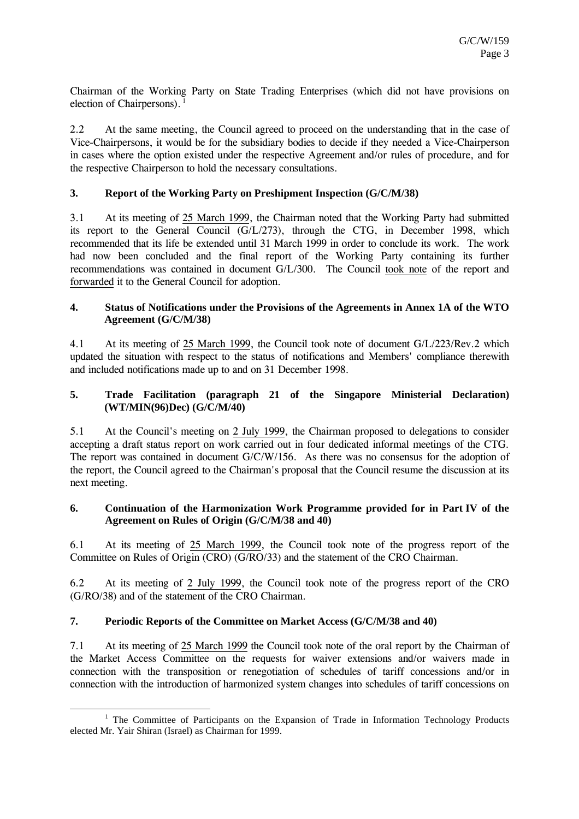Chairman of the Working Party on State Trading Enterprises (which did not have provisions on election of Chairpersons).  $<sup>1</sup>$ </sup>

2.2 At the same meeting, the Council agreed to proceed on the understanding that in the case of Vice-Chairpersons, it would be for the subsidiary bodies to decide if they needed a Vice-Chairperson in cases where the option existed under the respective Agreement and/or rules of procedure, and for the respective Chairperson to hold the necessary consultations.

## **3. Report of the Working Party on Preshipment Inspection (G/C/M/38)**

3.1 At its meeting of 25 March 1999, the Chairman noted that the Working Party had submitted its report to the General Council (G/L/273), through the CTG, in December 1998, which recommended that its life be extended until 31 March 1999 in order to conclude its work. The work had now been concluded and the final report of the Working Party containing its further recommendations was contained in document G/L/300. The Council took note of the report and forwarded it to the General Council for adoption.

#### **4. Status of Notifications under the Provisions of the Agreements in Annex 1A of the WTO Agreement (G/C/M/38)**

4.1 At its meeting of 25 March 1999, the Council took note of document G/L/223/Rev.2 which updated the situation with respect to the status of notifications and Members' compliance therewith and included notifications made up to and on 31 December 1998.

#### **5. Trade Facilitation (paragraph 21 of the Singapore Ministerial Declaration) (WT/MIN(96)Dec) (G/C/M/40)**

5.1 At the Council's meeting on 2 July 1999, the Chairman proposed to delegations to consider accepting a draft status report on work carried out in four dedicated informal meetings of the CTG. The report was contained in document G/C/W/156. As there was no consensus for the adoption of the report, the Council agreed to the Chairman's proposal that the Council resume the discussion at its next meeting.

## **6. Continuation of the Harmonization Work Programme provided for in Part IV of the Agreement on Rules of Origin (G/C/M/38 and 40)**

6.1 At its meeting of 25 March 1999, the Council took note of the progress report of the Committee on Rules of Origin (CRO) (G/RO/33) and the statement of the CRO Chairman.

6.2 At its meeting of 2 July 1999, the Council took note of the progress report of the CRO (G/RO/38) and of the statement of the CRO Chairman.

#### **7. Periodic Reports of the Committee on Market Access (G/C/M/38 and 40)**

7.1 At its meeting of 25 March 1999 the Council took note of the oral report by the Chairman of the Market Access Committee on the requests for waiver extensions and/or waivers made in connection with the transposition or renegotiation of schedules of tariff concessions and/or in connection with the introduction of harmonized system changes into schedules of tariff concessions on

<sup>&</sup>lt;u>1</u>  $1$  The Committee of Participants on the Expansion of Trade in Information Technology Products elected Mr. Yair Shiran (Israel) as Chairman for 1999.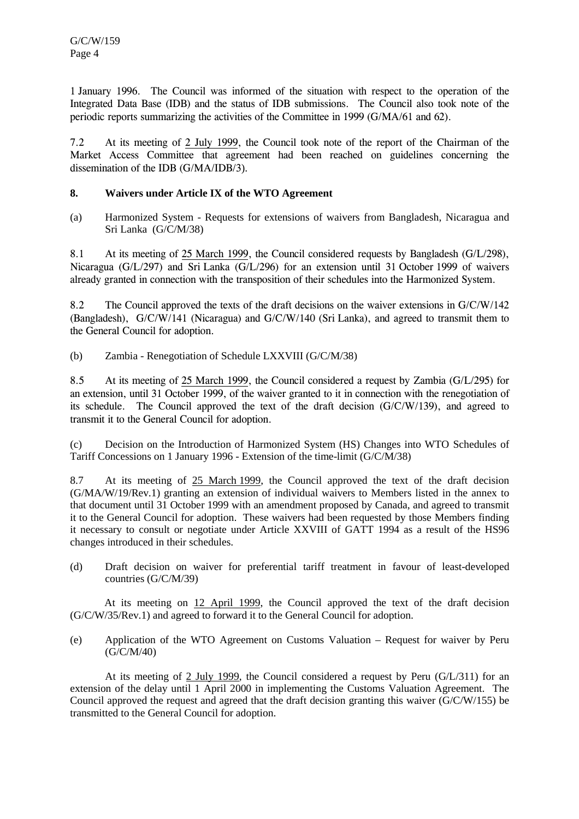1 January 1996. The Council was informed of the situation with respect to the operation of the Integrated Data Base (IDB) and the status of IDB submissions. The Council also took note of the periodic reports summarizing the activities of the Committee in 1999 (G/MA/61 and 62).

7.2 At its meeting of 2 July 1999, the Council took note of the report of the Chairman of the Market Access Committee that agreement had been reached on guidelines concerning the dissemination of the IDB (G/MA/IDB/3).

## **8. Waivers under Article IX of the WTO Agreement**

(a) Harmonized System - Requests for extensions of waivers from Bangladesh, Nicaragua and Sri Lanka (G/C/M/38)

8.1 At its meeting of 25 March 1999, the Council considered requests by Bangladesh (G/L/298), Nicaragua (G/L/297) and Sri Lanka (G/L/296) for an extension until 31 October 1999 of waivers already granted in connection with the transposition of their schedules into the Harmonized System.

8.2 The Council approved the texts of the draft decisions on the waiver extensions in G/C/W/142 (Bangladesh), G/C/W/141 (Nicaragua) and G/C/W/140 (Sri Lanka), and agreed to transmit them to the General Council for adoption.

(b) Zambia - Renegotiation of Schedule LXXVIII (G/C/M/38)

8.5 At its meeting of 25 March 1999, the Council considered a request by Zambia (G/L/295) for an extension, until 31 October 1999, of the waiver granted to it in connection with the renegotiation of its schedule. The Council approved the text of the draft decision  $(G/C/W/139)$ , and agreed to transmit it to the General Council for adoption.

(c) Decision on the Introduction of Harmonized System (HS) Changes into WTO Schedules of Tariff Concessions on 1 January 1996 - Extension of the time-limit (G/C/M/38)

8.7 At its meeting of 25 March 1999, the Council approved the text of the draft decision (G/MA/W/19/Rev.1) granting an extension of individual waivers to Members listed in the annex to that document until 31 October 1999 with an amendment proposed by Canada, and agreed to transmit it to the General Council for adoption. These waivers had been requested by those Members finding it necessary to consult or negotiate under Article XXVIII of GATT 1994 as a result of the HS96 changes introduced in their schedules.

(d) Draft decision on waiver for preferential tariff treatment in favour of least-developed countries (G/C/M/39)

At its meeting on 12 April 1999, the Council approved the text of the draft decision (G/C/W/35/Rev.1) and agreed to forward it to the General Council for adoption.

(e) Application of the WTO Agreement on Customs Valuation – Request for waiver by Peru (G/C/M/40)

At its meeting of 2 July 1999, the Council considered a request by Peru  $(G/L/311)$  for an extension of the delay until 1 April 2000 in implementing the Customs Valuation Agreement. The Council approved the request and agreed that the draft decision granting this waiver (G/C/W/155) be transmitted to the General Council for adoption.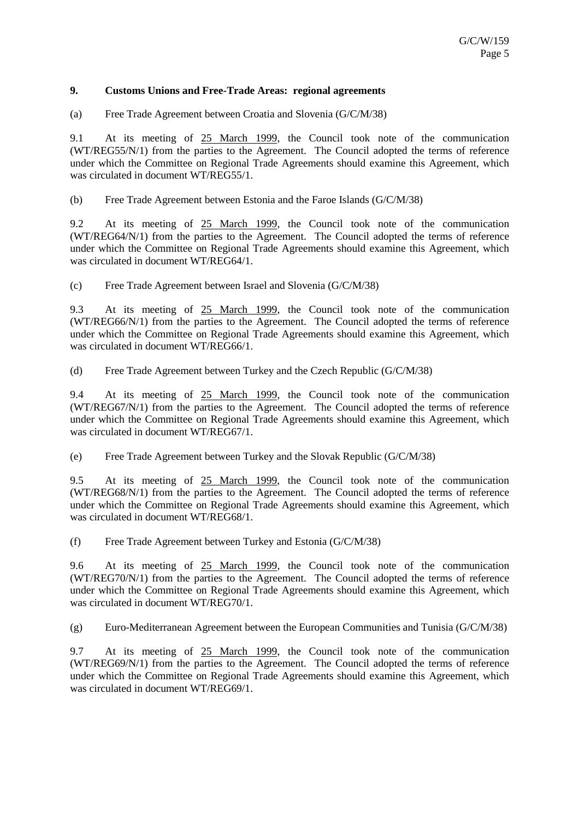#### **9. Customs Unions and Free-Trade Areas: regional agreements**

(a) Free Trade Agreement between Croatia and Slovenia (G/C/M/38)

9.1 At its meeting of 25 March 1999, the Council took note of the communication (WT/REG55/N/1) from the parties to the Agreement. The Council adopted the terms of reference under which the Committee on Regional Trade Agreements should examine this Agreement, which was circulated in document WT/REG55/1.

(b) Free Trade Agreement between Estonia and the Faroe Islands (G/C/M/38)

9.2 At its meeting of 25 March 1999, the Council took note of the communication (WT/REG64/N/1) from the parties to the Agreement. The Council adopted the terms of reference under which the Committee on Regional Trade Agreements should examine this Agreement, which was circulated in document WT/REG64/1.

(c) Free Trade Agreement between Israel and Slovenia (G/C/M/38)

9.3 At its meeting of 25 March 1999, the Council took note of the communication (WT/REG66/N/1) from the parties to the Agreement. The Council adopted the terms of reference under which the Committee on Regional Trade Agreements should examine this Agreement, which was circulated in document WT/REG66/1.

(d) Free Trade Agreement between Turkey and the Czech Republic (G/C/M/38)

9.4 At its meeting of 25 March 1999, the Council took note of the communication (WT/REG67/N/1) from the parties to the Agreement. The Council adopted the terms of reference under which the Committee on Regional Trade Agreements should examine this Agreement, which was circulated in document WT/REG67/1.

(e) Free Trade Agreement between Turkey and the Slovak Republic (G/C/M/38)

9.5 At its meeting of 25 March 1999, the Council took note of the communication (WT/REG68/N/1) from the parties to the Agreement. The Council adopted the terms of reference under which the Committee on Regional Trade Agreements should examine this Agreement, which was circulated in document WT/REG68/1.

(f) Free Trade Agreement between Turkey and Estonia (G/C/M/38)

9.6 At its meeting of 25 March 1999, the Council took note of the communication (WT/REG70/N/1) from the parties to the Agreement. The Council adopted the terms of reference under which the Committee on Regional Trade Agreements should examine this Agreement, which was circulated in document WT/REG70/1.

(g) Euro-Mediterranean Agreement between the European Communities and Tunisia (G/C/M/38)

9.7 At its meeting of 25 March 1999, the Council took note of the communication (WT/REG69/N/1) from the parties to the Agreement. The Council adopted the terms of reference under which the Committee on Regional Trade Agreements should examine this Agreement, which was circulated in document WT/REG69/1.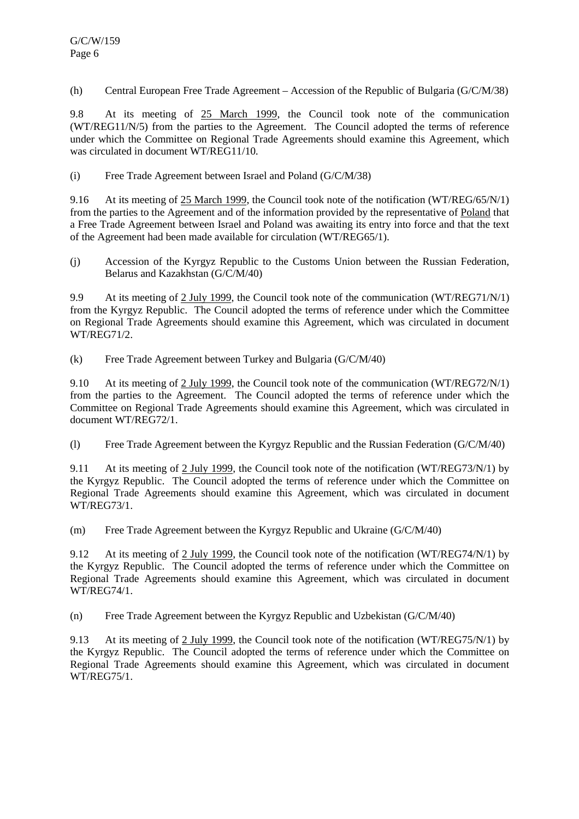(h) Central European Free Trade Agreement – Accession of the Republic of Bulgaria (G/C/M/38)

9.8 At its meeting of 25 March 1999, the Council took note of the communication (WT/REG11/N/5) from the parties to the Agreement. The Council adopted the terms of reference under which the Committee on Regional Trade Agreements should examine this Agreement, which was circulated in document WT/REG11/10.

(i) Free Trade Agreement between Israel and Poland (G/C/M/38)

9.16 At its meeting of 25 March 1999, the Council took note of the notification (WT/REG/65/N/1) from the parties to the Agreement and of the information provided by the representative of Poland that a Free Trade Agreement between Israel and Poland was awaiting its entry into force and that the text of the Agreement had been made available for circulation (WT/REG65/1).

(j) Accession of the Kyrgyz Republic to the Customs Union between the Russian Federation, Belarus and Kazakhstan (G/C/M/40)

9.9 At its meeting of 2 July 1999, the Council took note of the communication (WT/REG71/N/1) from the Kyrgyz Republic. The Council adopted the terms of reference under which the Committee on Regional Trade Agreements should examine this Agreement, which was circulated in document WT/REG71/2.

(k) Free Trade Agreement between Turkey and Bulgaria (G/C/M/40)

9.10 At its meeting of 2 July 1999, the Council took note of the communication (WT/REG72/N/1) from the parties to the Agreement. The Council adopted the terms of reference under which the Committee on Regional Trade Agreements should examine this Agreement, which was circulated in document WT/REG72/1.

(l) Free Trade Agreement between the Kyrgyz Republic and the Russian Federation (G/C/M/40)

9.11 At its meeting of 2 July 1999, the Council took note of the notification (WT/REG73/N/1) by the Kyrgyz Republic. The Council adopted the terms of reference under which the Committee on Regional Trade Agreements should examine this Agreement, which was circulated in document WT/REG73/1.

(m) Free Trade Agreement between the Kyrgyz Republic and Ukraine (G/C/M/40)

9.12 At its meeting of 2 July 1999, the Council took note of the notification (WT/REG74/N/1) by the Kyrgyz Republic. The Council adopted the terms of reference under which the Committee on Regional Trade Agreements should examine this Agreement, which was circulated in document WT/REG74/1.

(n) Free Trade Agreement between the Kyrgyz Republic and Uzbekistan (G/C/M/40)

9.13 At its meeting of 2 July 1999, the Council took note of the notification (WT/REG75/N/1) by the Kyrgyz Republic. The Council adopted the terms of reference under which the Committee on Regional Trade Agreements should examine this Agreement, which was circulated in document WT/REG75/1.